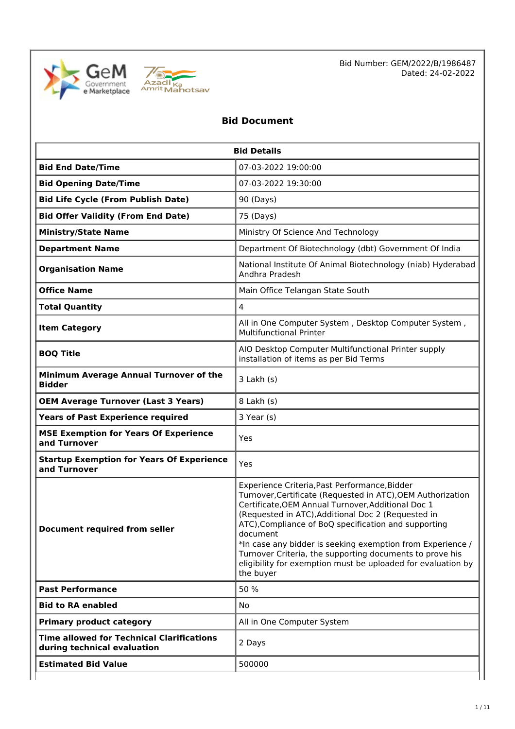



# **Bid Document**

| <b>Bid Details</b>                                                              |                                                                                                                                                                                                                                                                                                                                                                                                                                                                                                     |  |  |
|---------------------------------------------------------------------------------|-----------------------------------------------------------------------------------------------------------------------------------------------------------------------------------------------------------------------------------------------------------------------------------------------------------------------------------------------------------------------------------------------------------------------------------------------------------------------------------------------------|--|--|
| <b>Bid End Date/Time</b>                                                        | 07-03-2022 19:00:00                                                                                                                                                                                                                                                                                                                                                                                                                                                                                 |  |  |
| <b>Bid Opening Date/Time</b>                                                    | 07-03-2022 19:30:00                                                                                                                                                                                                                                                                                                                                                                                                                                                                                 |  |  |
| <b>Bid Life Cycle (From Publish Date)</b>                                       | 90 (Days)                                                                                                                                                                                                                                                                                                                                                                                                                                                                                           |  |  |
| <b>Bid Offer Validity (From End Date)</b>                                       | 75 (Days)                                                                                                                                                                                                                                                                                                                                                                                                                                                                                           |  |  |
| <b>Ministry/State Name</b>                                                      | Ministry Of Science And Technology                                                                                                                                                                                                                                                                                                                                                                                                                                                                  |  |  |
| <b>Department Name</b>                                                          | Department Of Biotechnology (dbt) Government Of India                                                                                                                                                                                                                                                                                                                                                                                                                                               |  |  |
| <b>Organisation Name</b>                                                        | National Institute Of Animal Biotechnology (niab) Hyderabad<br>Andhra Pradesh                                                                                                                                                                                                                                                                                                                                                                                                                       |  |  |
| <b>Office Name</b>                                                              | Main Office Telangan State South                                                                                                                                                                                                                                                                                                                                                                                                                                                                    |  |  |
| $\overline{4}$<br><b>Total Quantity</b>                                         |                                                                                                                                                                                                                                                                                                                                                                                                                                                                                                     |  |  |
| <b>Item Category</b>                                                            | All in One Computer System, Desktop Computer System,<br><b>Multifunctional Printer</b>                                                                                                                                                                                                                                                                                                                                                                                                              |  |  |
| <b>BOQ Title</b>                                                                | AIO Desktop Computer Multifunctional Printer supply<br>installation of items as per Bid Terms                                                                                                                                                                                                                                                                                                                                                                                                       |  |  |
| Minimum Average Annual Turnover of the<br><b>Bidder</b>                         | $3$ Lakh $(s)$                                                                                                                                                                                                                                                                                                                                                                                                                                                                                      |  |  |
| <b>OEM Average Turnover (Last 3 Years)</b><br>8 Lakh (s)                        |                                                                                                                                                                                                                                                                                                                                                                                                                                                                                                     |  |  |
| <b>Years of Past Experience required</b>                                        | 3 Year (s)                                                                                                                                                                                                                                                                                                                                                                                                                                                                                          |  |  |
| <b>MSE Exemption for Years Of Experience</b><br>Yes<br>and Turnover             |                                                                                                                                                                                                                                                                                                                                                                                                                                                                                                     |  |  |
| <b>Startup Exemption for Years Of Experience</b><br>and Turnover                | Yes                                                                                                                                                                                                                                                                                                                                                                                                                                                                                                 |  |  |
| <b>Document required from seller</b>                                            | Experience Criteria, Past Performance, Bidder<br>Turnover, Certificate (Requested in ATC), OEM Authorization<br>Certificate, OEM Annual Turnover, Additional Doc 1<br>(Requested in ATC), Additional Doc 2 (Requested in<br>ATC), Compliance of BoQ specification and supporting<br>document<br>*In case any bidder is seeking exemption from Experience /<br>Turnover Criteria, the supporting documents to prove his<br>eligibility for exemption must be uploaded for evaluation by<br>the buyer |  |  |
| <b>Past Performance</b>                                                         | 50 %                                                                                                                                                                                                                                                                                                                                                                                                                                                                                                |  |  |
| <b>Bid to RA enabled</b>                                                        | No.                                                                                                                                                                                                                                                                                                                                                                                                                                                                                                 |  |  |
| All in One Computer System<br><b>Primary product category</b>                   |                                                                                                                                                                                                                                                                                                                                                                                                                                                                                                     |  |  |
| <b>Time allowed for Technical Clarifications</b><br>during technical evaluation | 2 Days                                                                                                                                                                                                                                                                                                                                                                                                                                                                                              |  |  |
| <b>Estimated Bid Value</b>                                                      | 500000                                                                                                                                                                                                                                                                                                                                                                                                                                                                                              |  |  |
|                                                                                 |                                                                                                                                                                                                                                                                                                                                                                                                                                                                                                     |  |  |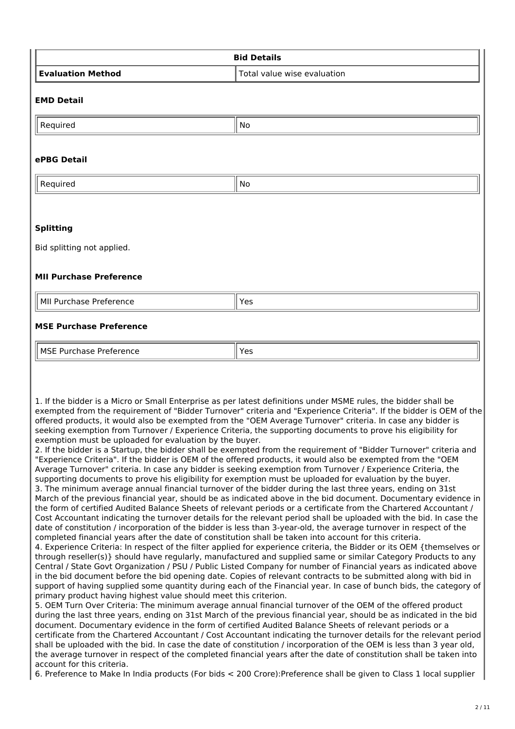| <b>Bid Details</b>                                                                                                                                                                                                                     |                                                                                                                                                                                                                                                                                                                                                                                                                                                                                                                                                                                                                                                                                                                                                                                                                                                                                                                                                                                                                                                                                                                                                                                                                                                                                                                                                                                                                                                                                                                                                                                                                                                                                                                                                                                                                                                                                                                                                                                                                                                                                                                                                     |  |  |  |
|----------------------------------------------------------------------------------------------------------------------------------------------------------------------------------------------------------------------------------------|-----------------------------------------------------------------------------------------------------------------------------------------------------------------------------------------------------------------------------------------------------------------------------------------------------------------------------------------------------------------------------------------------------------------------------------------------------------------------------------------------------------------------------------------------------------------------------------------------------------------------------------------------------------------------------------------------------------------------------------------------------------------------------------------------------------------------------------------------------------------------------------------------------------------------------------------------------------------------------------------------------------------------------------------------------------------------------------------------------------------------------------------------------------------------------------------------------------------------------------------------------------------------------------------------------------------------------------------------------------------------------------------------------------------------------------------------------------------------------------------------------------------------------------------------------------------------------------------------------------------------------------------------------------------------------------------------------------------------------------------------------------------------------------------------------------------------------------------------------------------------------------------------------------------------------------------------------------------------------------------------------------------------------------------------------------------------------------------------------------------------------------------------------|--|--|--|
| <b>Evaluation Method</b>                                                                                                                                                                                                               | Total value wise evaluation                                                                                                                                                                                                                                                                                                                                                                                                                                                                                                                                                                                                                                                                                                                                                                                                                                                                                                                                                                                                                                                                                                                                                                                                                                                                                                                                                                                                                                                                                                                                                                                                                                                                                                                                                                                                                                                                                                                                                                                                                                                                                                                         |  |  |  |
| <b>EMD Detail</b>                                                                                                                                                                                                                      |                                                                                                                                                                                                                                                                                                                                                                                                                                                                                                                                                                                                                                                                                                                                                                                                                                                                                                                                                                                                                                                                                                                                                                                                                                                                                                                                                                                                                                                                                                                                                                                                                                                                                                                                                                                                                                                                                                                                                                                                                                                                                                                                                     |  |  |  |
| Required                                                                                                                                                                                                                               | No                                                                                                                                                                                                                                                                                                                                                                                                                                                                                                                                                                                                                                                                                                                                                                                                                                                                                                                                                                                                                                                                                                                                                                                                                                                                                                                                                                                                                                                                                                                                                                                                                                                                                                                                                                                                                                                                                                                                                                                                                                                                                                                                                  |  |  |  |
| ePBG Detail                                                                                                                                                                                                                            |                                                                                                                                                                                                                                                                                                                                                                                                                                                                                                                                                                                                                                                                                                                                                                                                                                                                                                                                                                                                                                                                                                                                                                                                                                                                                                                                                                                                                                                                                                                                                                                                                                                                                                                                                                                                                                                                                                                                                                                                                                                                                                                                                     |  |  |  |
| Required                                                                                                                                                                                                                               | No                                                                                                                                                                                                                                                                                                                                                                                                                                                                                                                                                                                                                                                                                                                                                                                                                                                                                                                                                                                                                                                                                                                                                                                                                                                                                                                                                                                                                                                                                                                                                                                                                                                                                                                                                                                                                                                                                                                                                                                                                                                                                                                                                  |  |  |  |
| <b>Splitting</b>                                                                                                                                                                                                                       |                                                                                                                                                                                                                                                                                                                                                                                                                                                                                                                                                                                                                                                                                                                                                                                                                                                                                                                                                                                                                                                                                                                                                                                                                                                                                                                                                                                                                                                                                                                                                                                                                                                                                                                                                                                                                                                                                                                                                                                                                                                                                                                                                     |  |  |  |
| Bid splitting not applied.                                                                                                                                                                                                             |                                                                                                                                                                                                                                                                                                                                                                                                                                                                                                                                                                                                                                                                                                                                                                                                                                                                                                                                                                                                                                                                                                                                                                                                                                                                                                                                                                                                                                                                                                                                                                                                                                                                                                                                                                                                                                                                                                                                                                                                                                                                                                                                                     |  |  |  |
| <b>MII Purchase Preference</b>                                                                                                                                                                                                         |                                                                                                                                                                                                                                                                                                                                                                                                                                                                                                                                                                                                                                                                                                                                                                                                                                                                                                                                                                                                                                                                                                                                                                                                                                                                                                                                                                                                                                                                                                                                                                                                                                                                                                                                                                                                                                                                                                                                                                                                                                                                                                                                                     |  |  |  |
| MII Purchase Preference                                                                                                                                                                                                                | Yes                                                                                                                                                                                                                                                                                                                                                                                                                                                                                                                                                                                                                                                                                                                                                                                                                                                                                                                                                                                                                                                                                                                                                                                                                                                                                                                                                                                                                                                                                                                                                                                                                                                                                                                                                                                                                                                                                                                                                                                                                                                                                                                                                 |  |  |  |
| <b>MSE Purchase Preference</b>                                                                                                                                                                                                         |                                                                                                                                                                                                                                                                                                                                                                                                                                                                                                                                                                                                                                                                                                                                                                                                                                                                                                                                                                                                                                                                                                                                                                                                                                                                                                                                                                                                                                                                                                                                                                                                                                                                                                                                                                                                                                                                                                                                                                                                                                                                                                                                                     |  |  |  |
| <b>MSE Purchase Preference</b>                                                                                                                                                                                                         | Yes                                                                                                                                                                                                                                                                                                                                                                                                                                                                                                                                                                                                                                                                                                                                                                                                                                                                                                                                                                                                                                                                                                                                                                                                                                                                                                                                                                                                                                                                                                                                                                                                                                                                                                                                                                                                                                                                                                                                                                                                                                                                                                                                                 |  |  |  |
| exemption must be uploaded for evaluation by the buyer.<br>completed financial years after the date of constitution shall be taken into account for this criteria.<br>primary product having highest value should meet this criterion. | 1. If the bidder is a Micro or Small Enterprise as per latest definitions under MSME rules, the bidder shall be<br>exempted from the requirement of "Bidder Turnover" criteria and "Experience Criteria". If the bidder is OEM of the<br>offered products, it would also be exempted from the "OEM Average Turnover" criteria. In case any bidder is<br>seeking exemption from Turnover / Experience Criteria, the supporting documents to prove his eligibility for<br>2. If the bidder is a Startup, the bidder shall be exempted from the requirement of "Bidder Turnover" criteria and<br>"Experience Criteria". If the bidder is OEM of the offered products, it would also be exempted from the "OEM<br>Average Turnover" criteria. In case any bidder is seeking exemption from Turnover / Experience Criteria, the<br>supporting documents to prove his eligibility for exemption must be uploaded for evaluation by the buyer.<br>3. The minimum average annual financial turnover of the bidder during the last three years, ending on 31st<br>March of the previous financial year, should be as indicated above in the bid document. Documentary evidence in<br>the form of certified Audited Balance Sheets of relevant periods or a certificate from the Chartered Accountant /<br>Cost Accountant indicating the turnover details for the relevant period shall be uploaded with the bid. In case the<br>date of constitution / incorporation of the bidder is less than 3-year-old, the average turnover in respect of the<br>4. Experience Criteria: In respect of the filter applied for experience criteria, the Bidder or its OEM {themselves or<br>through reseller(s)} should have regularly, manufactured and supplied same or similar Category Products to any<br>Central / State Govt Organization / PSU / Public Listed Company for number of Financial years as indicated above<br>in the bid document before the bid opening date. Copies of relevant contracts to be submitted along with bid in<br>support of having supplied some quantity during each of the Financial year. In case of bunch bids, the category of |  |  |  |

5. OEM Turn Over Criteria: The minimum average annual financial turnover of the OEM of the offered product during the last three years, ending on 31st March of the previous financial year, should be as indicated in the bid document. Documentary evidence in the form of certified Audited Balance Sheets of relevant periods or a certificate from the Chartered Accountant / Cost Accountant indicating the turnover details for the relevant period shall be uploaded with the bid. In case the date of constitution / incorporation of the OEM is less than 3 year old, the average turnover in respect of the completed financial years after the date of constitution shall be taken into account for this criteria.

6. Preference to Make In India products (For bids < 200 Crore):Preference shall be given to Class 1 local supplier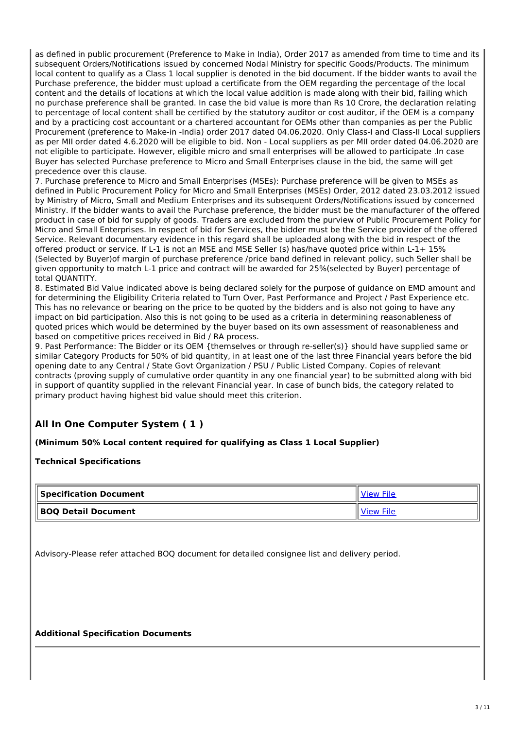as defined in public procurement (Preference to Make in India), Order 2017 as amended from time to time and its subsequent Orders/Notifications issued by concerned Nodal Ministry for specific Goods/Products. The minimum local content to qualify as a Class 1 local supplier is denoted in the bid document. If the bidder wants to avail the Purchase preference, the bidder must upload a certificate from the OEM regarding the percentage of the local content and the details of locations at which the local value addition is made along with their bid, failing which no purchase preference shall be granted. In case the bid value is more than Rs 10 Crore, the declaration relating to percentage of local content shall be certified by the statutory auditor or cost auditor, if the OEM is a company and by a practicing cost accountant or a chartered accountant for OEMs other than companies as per the Public Procurement (preference to Make-in -India) order 2017 dated 04.06.2020. Only Class-I and Class-II Local suppliers as per MII order dated 4.6.2020 will be eligible to bid. Non - Local suppliers as per MII order dated 04.06.2020 are not eligible to participate. However, eligible micro and small enterprises will be allowed to participate .In case Buyer has selected Purchase preference to Micro and Small Enterprises clause in the bid, the same will get precedence over this clause.

7. Purchase preference to Micro and Small Enterprises (MSEs): Purchase preference will be given to MSEs as defined in Public Procurement Policy for Micro and Small Enterprises (MSEs) Order, 2012 dated 23.03.2012 issued by Ministry of Micro, Small and Medium Enterprises and its subsequent Orders/Notifications issued by concerned Ministry. If the bidder wants to avail the Purchase preference, the bidder must be the manufacturer of the offered product in case of bid for supply of goods. Traders are excluded from the purview of Public Procurement Policy for Micro and Small Enterprises. In respect of bid for Services, the bidder must be the Service provider of the offered Service. Relevant documentary evidence in this regard shall be uploaded along with the bid in respect of the offered product or service. If L-1 is not an MSE and MSE Seller (s) has/have quoted price within L-1+ 15% (Selected by Buyer)of margin of purchase preference /price band defined in relevant policy, such Seller shall be given opportunity to match L-1 price and contract will be awarded for 25%(selected by Buyer) percentage of total QUANTITY.

8. Estimated Bid Value indicated above is being declared solely for the purpose of guidance on EMD amount and for determining the Eligibility Criteria related to Turn Over, Past Performance and Project / Past Experience etc. This has no relevance or bearing on the price to be quoted by the bidders and is also not going to have any impact on bid participation. Also this is not going to be used as a criteria in determining reasonableness of quoted prices which would be determined by the buyer based on its own assessment of reasonableness and based on competitive prices received in Bid / RA process.

9. Past Performance: The Bidder or its OEM {themselves or through re-seller(s)} should have supplied same or similar Category Products for 50% of bid quantity, in at least one of the last three Financial years before the bid opening date to any Central / State Govt Organization / PSU / Public Listed Company. Copies of relevant contracts (proving supply of cumulative order quantity in any one financial year) to be submitted along with bid in support of quantity supplied in the relevant Financial year. In case of bunch bids, the category related to primary product having highest bid value should meet this criterion.

# **All In One Computer System ( 1 )**

## **(Minimum 50% Local content required for qualifying as Class 1 Local Supplier)**

#### **Technical Specifications**

| Specification Document     |           |
|----------------------------|-----------|
| <b>BOQ Detail Document</b> | View File |

Advisory-Please refer attached BOQ document for detailed consignee list and delivery period.

**Additional Specification Documents**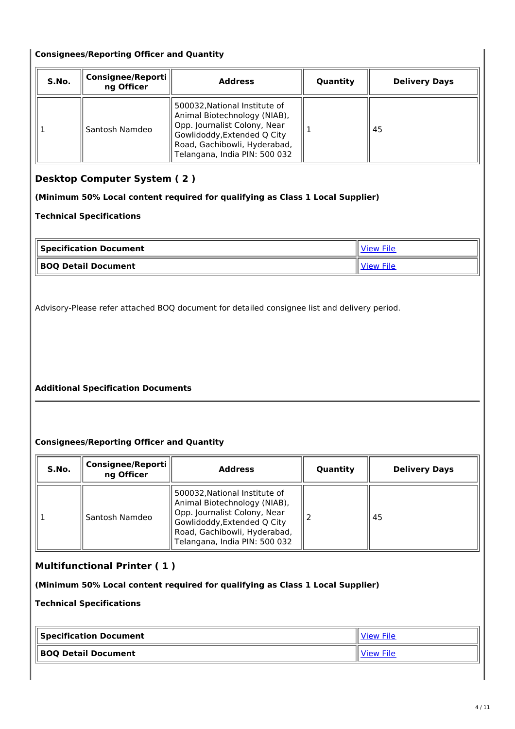#### **Consignees/Reporting Officer and Quantity**

| S.No. | Consignee/Reporti<br>ng Officer | <b>Address</b>                                                                                                                                                                                | Quantity | <b>Delivery Days</b> |
|-------|---------------------------------|-----------------------------------------------------------------------------------------------------------------------------------------------------------------------------------------------|----------|----------------------|
|       | Santosh Namdeo                  | 500032, National Institute of<br>Animal Biotechnology (NIAB),<br>Opp. Journalist Colony, Near<br>Gowlidoddy, Extended Q City<br>Road, Gachibowli, Hyderabad,<br>Telangana, India PIN: 500 032 |          | 45                   |

# **Desktop Computer System ( 2 )**

#### **(Minimum 50% Local content required for qualifying as Class 1 Local Supplier)**

#### **Technical Specifications**

| Specification Document     |  |
|----------------------------|--|
| <b>BOQ Detail Document</b> |  |

Advisory-Please refer attached BOQ document for detailed consignee list and delivery period.

## **Additional Specification Documents**

## **Consignees/Reporting Officer and Quantity**

| S.No. | Consignee/Reporti<br>ng Officer | <b>Address</b>                                                                                                                                                                                | Quantity | <b>Delivery Days</b> |
|-------|---------------------------------|-----------------------------------------------------------------------------------------------------------------------------------------------------------------------------------------------|----------|----------------------|
|       | Santosh Namdeo                  | 500032, National Institute of<br>Animal Biotechnology (NIAB),<br>Opp. Journalist Colony, Near<br>Gowlidoddy, Extended Q City<br>Road, Gachibowli, Hyderabad,<br>Telangana, India PIN: 500 032 |          | 45                   |

# **Multifunctional Printer ( 1 )**

**(Minimum 50% Local content required for qualifying as Class 1 Local Supplier)**

**Technical Specifications**

| $\parallel$ Specification Document | <b>View File</b> |
|------------------------------------|------------------|
| BOQ Detail Document                |                  |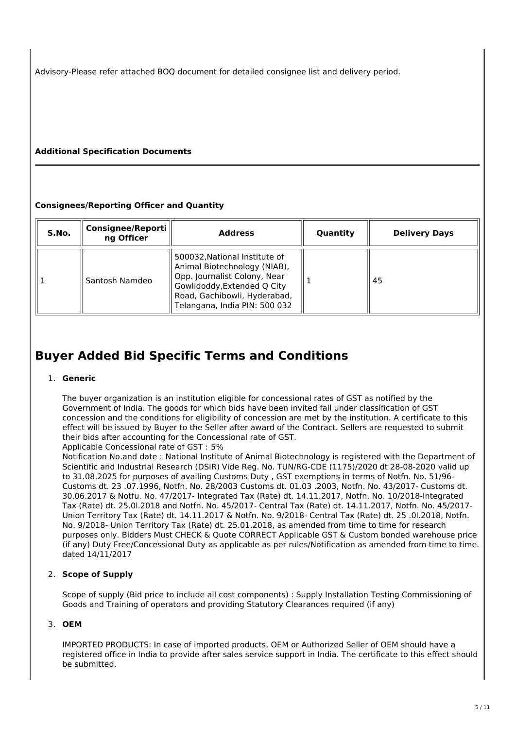Advisory-Please refer attached BOQ document for detailed consignee list and delivery period.

## **Additional Specification Documents**

#### **Consignees/Reporting Officer and Quantity**

| S.No. | Consignee/Reporti<br>ng Officer | <b>Address</b>                                                                                                                                                                                | Quantity | <b>Delivery Days</b> |
|-------|---------------------------------|-----------------------------------------------------------------------------------------------------------------------------------------------------------------------------------------------|----------|----------------------|
|       | Santosh Namdeo                  | 500032, National Institute of<br>Animal Biotechnology (NIAB),<br>Opp. Journalist Colony, Near<br>Gowlidoddy, Extended Q City<br>Road, Gachibowli, Hyderabad,<br>Telangana, India PIN: 500 032 |          | 45                   |

# **Buyer Added Bid Specific Terms and Conditions**

#### 1. **Generic**

The buyer organization is an institution eligible for concessional rates of GST as notified by the Government of India. The goods for which bids have been invited fall under classification of GST concession and the conditions for eligibility of concession are met by the institution. A certificate to this effect will be issued by Buyer to the Seller after award of the Contract. Sellers are requested to submit their bids after accounting for the Concessional rate of GST.

Applicable Concessional rate of GST : 5%

Notification No.and date : National Institute of Animal Biotechnology is registered with the Department of Scientific and Industrial Research (DSIR) Vide Reg. No. TUN/RG-CDE (1175)/2020 dt 28-08-2020 valid up to 31.08.2025 for purposes of availing Customs Duty , GST exemptions in terms of Notfn. No. 51/96- Customs dt. 23 .07.1996, Notfn. No. 28/2003 Customs dt. 01.03 .2003, Notfn. No. 43/2017- Customs dt. 30.06.2017 & Notfu. No. 47/2017- Integrated Tax (Rate) dt. 14.11.2017, Notfn. No. 10/2018-Integrated Tax (Rate) dt. 25.0l.2018 and Notfn. No. 45/2017- Central Tax (Rate) dt. 14.11.2017, Notfn. No. 45/2017- Union Territory Tax (Rate) dt. 14.11.2017 & Notfn. No. 9/2018- Central Tax (Rate) dt. 25 .0l.2018, Notfn. No. 9/2018- Union Territory Tax (Rate) dt. 25.01.2018, as amended from time to time for research purposes only. Bidders Must CHECK & Quote CORRECT Applicable GST & Custom bonded warehouse price (if any) Duty Free/Concessional Duty as applicable as per rules/Notification as amended from time to time. dated 14/11/2017

## 2. **Scope of Supply**

Scope of supply (Bid price to include all cost components) : Supply Installation Testing Commissioning of Goods and Training of operators and providing Statutory Clearances required (if any)

## 3. **OEM**

IMPORTED PRODUCTS: In case of imported products, OEM or Authorized Seller of OEM should have a registered office in India to provide after sales service support in India. The certificate to this effect should be submitted.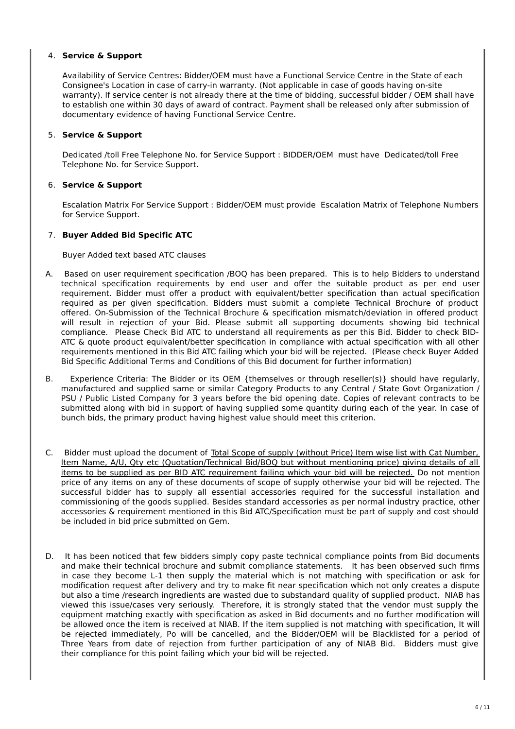#### 4. **Service & Support**

Availability of Service Centres: Bidder/OEM must have a Functional Service Centre in the State of each Consignee's Location in case of carry-in warranty. (Not applicable in case of goods having on-site warranty). If service center is not already there at the time of bidding, successful bidder / OEM shall have to establish one within 30 days of award of contract. Payment shall be released only after submission of documentary evidence of having Functional Service Centre.

#### 5. **Service & Support**

Dedicated /toll Free Telephone No. for Service Support : BIDDER/OEM must have Dedicated/toll Free Telephone No. for Service Support.

#### 6. **Service & Support**

Escalation Matrix For Service Support : Bidder/OEM must provide Escalation Matrix of Telephone Numbers for Service Support.

#### 7. **Buyer Added Bid Specific ATC**

Buyer Added text based ATC clauses

- A. Based on user requirement specification /BOQ has been prepared. This is to help Bidders to understand technical specification requirements by end user and offer the suitable product as per end user requirement. Bidder must offer a product with equivalent/better specification than actual specification required as per given specification. Bidders must submit a complete Technical Brochure of product offered. On-Submission of the Technical Brochure & specification mismatch/deviation in offered product will result in rejection of your Bid. Please submit all supporting documents showing bid technical compliance. Please Check Bid ATC to understand all requirements as per this Bid. Bidder to check BID-ATC & quote product equivalent/better specification in compliance with actual specification with all other requirements mentioned in this Bid ATC failing which your bid will be rejected. (Please check Buyer Added Bid Specific Additional Terms and Conditions of this Bid document for further information)
- B. Experience Criteria: The Bidder or its OEM {themselves or through reseller(s)} should have regularly, manufactured and supplied same or similar Category Products to any Central / State Govt Organization / PSU / Public Listed Company for 3 years before the bid opening date. Copies of relevant contracts to be submitted along with bid in support of having supplied some quantity during each of the year. In case of bunch bids, the primary product having highest value should meet this criterion.
- C. Bidder must upload the document of Total Scope of supply (without Price) Item wise list with Cat Number, Item Name, A/U, Qty etc (Quotation/Technical Bid/BOQ but without mentioning price) giving details of all items to be supplied as per BID ATC requirement failing which your bid will be rejected. Do not mention price of any items on any of these documents of scope of supply otherwise your bid will be rejected. The successful bidder has to supply all essential accessories required for the successful installation and commissioning of the goods supplied. Besides standard accessories as per normal industry practice, other accessories & requirement mentioned in this Bid ATC/Specification must be part of supply and cost should be included in bid price submitted on Gem.
- D. It has been noticed that few bidders simply copy paste technical compliance points from Bid documents and make their technical brochure and submit compliance statements. It has been observed such firms in case they become L-1 then supply the material which is not matching with specification or ask for modification request after delivery and try to make fit near specification which not only creates a dispute but also a time /research ingredients are wasted due to substandard quality of supplied product. NIAB has viewed this issue/cases very seriously. Therefore, it is strongly stated that the vendor must supply the equipment matching exactly with specification as asked in Bid documents and no further modification will be allowed once the item is received at NIAB. If the item supplied is not matching with specification, It will be rejected immediately, Po will be cancelled, and the Bidder/OEM will be Blacklisted for a period of Three Years from date of rejection from further participation of any of NIAB Bid. Bidders must give their compliance for this point failing which your bid will be rejected.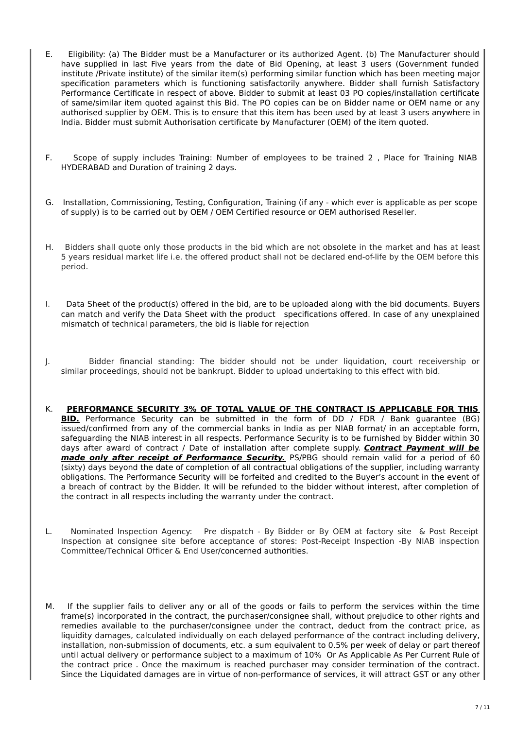- E. Eligibility: (a) The Bidder must be a Manufacturer or its authorized Agent. (b) The Manufacturer should have supplied in last Five years from the date of Bid Opening, at least 3 users (Government funded institute /Private institute) of the similar item(s) performing similar function which has been meeting major specification parameters which is functioning satisfactorily anywhere. Bidder shall furnish Satisfactory Performance Certificate in respect of above. Bidder to submit at least 03 PO copies/installation certificate of same/similar item quoted against this Bid. The PO copies can be on Bidder name or OEM name or any authorised supplier by OEM. This is to ensure that this item has been used by at least 3 users anywhere in India. Bidder must submit Authorisation certificate by Manufacturer (OEM) of the item quoted.
- F. Scope of supply includes Training: Number of employees to be trained 2 , Place for Training NIAB HYDERABAD and Duration of training 2 days.
- G. Installation, Commissioning, Testing, Configuration, Training (if any which ever is applicable as per scope of supply) is to be carried out by OEM / OEM Certified resource or OEM authorised Reseller.
- H. Bidders shall quote only those products in the bid which are not obsolete in the market and has at least 5 years residual market life i.e. the offered product shall not be declared end-of-life by the OEM before this period.
- I. Data Sheet of the product(s) offered in the bid, are to be uploaded along with the bid documents. Buyers can match and verify the Data Sheet with the product specifications offered. In case of any unexplained mismatch of technical parameters, the bid is liable for rejection
- J. Bidder financial standing: The bidder should not be under liquidation, court receivership or similar proceedings, should not be bankrupt. Bidder to upload undertaking to this effect with bid.
- K. **PERFORMANCE SECURITY 3% OF TOTAL VALUE OF THE CONTRACT IS APPLICABLE FOR THIS BID.** Performance Security can be submitted in the form of DD / FDR / Bank guarantee (BG) issued/confirmed from any of the commercial banks in India as per NIAB format/ in an acceptable form, safeguarding the NIAB interest in all respects. Performance Security is to be furnished by Bidder within 30 days after award of contract / Date of installation after complete supply. **Contract Payment will be made only after receipt of Performance Security.** PS/PBG should remain valid for a period of 60 (sixty) days beyond the date of completion of all contractual obligations of the supplier, including warranty obligations. The Performance Security will be forfeited and credited to the Buyer's account in the event of a breach of contract by the Bidder. It will be refunded to the bidder without interest, after completion of the contract in all respects including the warranty under the contract.
- L. Nominated Inspection Agency: Pre dispatch By Bidder or By OEM at factory site & Post Receipt Inspection at consignee site before acceptance of stores: Post-Receipt Inspection -By NIAB inspection Committee/Technical Officer & End User/concerned authorities.
- M. If the supplier fails to deliver any or all of the goods or fails to perform the services within the time frame(s) incorporated in the contract, the purchaser/consignee shall, without prejudice to other rights and remedies available to the purchaser/consignee under the contract, deduct from the contract price, as liquidity damages, calculated individually on each delayed performance of the contract including delivery, installation, non-submission of documents, etc. a sum equivalent to 0.5% per week of delay or part thereof until actual delivery or performance subject to a maximum of 10% Or As Applicable As Per Current Rule of the contract price . Once the maximum is reached purchaser may consider termination of the contract. Since the Liquidated damages are in virtue of non-performance of services, it will attract GST or any other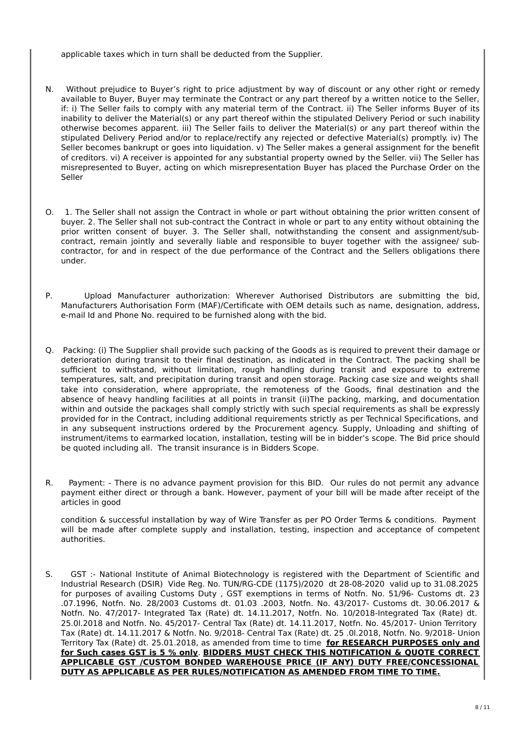applicable taxes which in turn shall be deducted from the Supplier.

- N. Without prejudice to Buyer's right to price adjustment by way of discount or any other right or remedy available to Buyer, Buyer may terminate the Contract or any part thereof by a written notice to the Seller, if: i) The Seller fails to comply with any material term of the Contract. ii) The Seller informs Buyer of its inability to deliver the Material(s) or any part thereof within the stipulated Delivery Period or such inability otherwise becomes apparent. iii) The Seller fails to deliver the Material(s) or any part thereof within the stipulated Delivery Period and/or to replace/rectify any rejected or defective Material(s) promptly. iv) The Seller becomes bankrupt or goes into liquidation. v) The Seller makes a general assignment for the benefit of creditors. vi) A receiver is appointed for any substantial property owned by the Seller. vii) The Seller has misrepresented to Buyer, acting on which misrepresentation Buyer has placed the Purchase Order on the Seller
- O. 1. The Seller shall not assign the Contract in whole or part without obtaining the prior written consent of buyer. 2. The Seller shall not sub-contract the Contract in whole or part to any entity without obtaining the prior written consent of buyer. 3. The Seller shall, notwithstanding the consent and assignment/subcontract, remain jointly and severally liable and responsible to buyer together with the assignee/ subcontractor, for and in respect of the due performance of the Contract and the Sellers obligations there under.
- P. Upload Manufacturer authorization: Wherever Authorised Distributors are submitting the bid, Manufacturers Authorisation Form (MAF)/Certificate with OEM details such as name, designation, address, e-mail Id and Phone No. required to be furnished along with the bid.
- Q. Packing: (i) The Supplier shall provide such packing of the Goods as is required to prevent their damage or deterioration during transit to their final destination, as indicated in the Contract. The packing shall be sufficient to withstand, without limitation, rough handling during transit and exposure to extreme temperatures, salt, and precipitation during transit and open storage. Packing case size and weights shall take into consideration, where appropriate, the remoteness of the Goods, final destination and the absence of heavy handling facilities at all points in transit (ii)The packing, marking, and documentation within and outside the packages shall comply strictly with such special requirements as shall be expressly provided for in the Contract, including additional requirements strictly as per Technical Specifications, and in any subsequent instructions ordered by the Procurement agency. Supply, Unloading and shifting of instrument/items to earmarked location, installation, testing will be in bidder's scope. The Bid price should be quoted including all. The transit insurance is in Bidders Scope.
- R. Payment: There is no advance payment provision for this BID. Our rules do not permit any advance payment either direct or through a bank. However, payment of your bill will be made after receipt of the articles in good

condition & successful installation by way of Wire Transfer as per PO Order Terms & conditions. Payment will be made after complete supply and installation, testing, inspection and acceptance of competent authorities.

S. GST :- National Institute of Animal Biotechnology is registered with the Department of Scientific and Industrial Research (DSIR) Vide Reg. No. TUN/RG-CDE (1175)/2020 dt 28-08-2020 valid up to 31.08.2025 for purposes of availing Customs Duty , GST exemptions in terms of Notfn. No. 51/96- Customs dt. 23 .07.1996, Notfn. No. 28/2003 Customs dt. 01.03 .2003, Notfn. No. 43/2017- Customs dt. 30.06.2017 & Notfn. No. 47/2017- Integrated Tax (Rate) dt. 14.11.2017, Notfn. No. 10/2018-Integrated Tax (Rate) dt. 25.0l.2018 and Notfn. No. 45/2017- Central Tax (Rate) dt. 14.11.2017, Notfn. No. 45/2017- Union Territory Tax (Rate) dt. 14.11.2017 & Notfn. No. 9/2018- Central Tax (Rate) dt. 25 .0l.2018, Notfn. No. 9/2018- Union Territory Tax (Rate) dt. 25.01.2018, as amended from time to time **for RESEARCH PURPOSES only and for Such cases GST is 5 % only**. **BIDDERS MUST CHECK THIS NOTIFICATION & QUOTE CORRECT APPLICABLE GST /CUSTOM BONDED WAREHOUSE PRICE (IF ANY) DUTY FREE/CONCESSIONAL DUTY AS APPLICABLE AS PER RULES/NOTIFICATION AS AMENDED FROM TIME TO TIME.**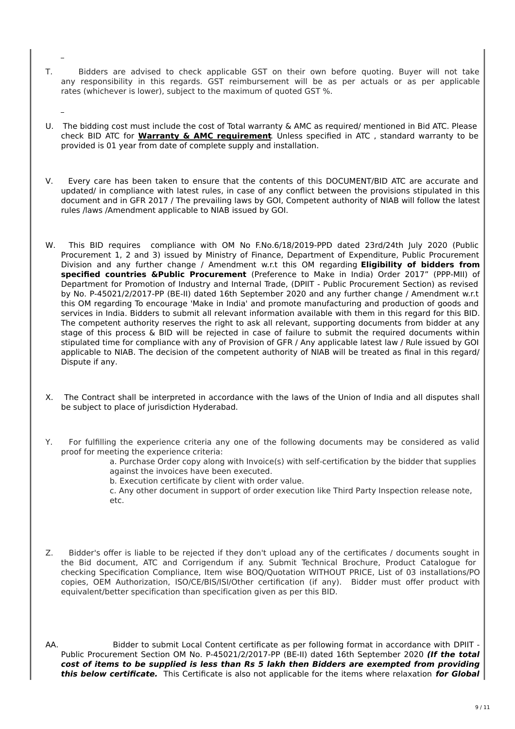- T. Bidders are advised to check applicable GST on their own before quoting. Buyer will not take any responsibility in this regards. GST reimbursement will be as per actuals or as per applicable rates (whichever is lower), subject to the maximum of quoted GST %.
- U. The bidding cost must include the cost of Total warranty & AMC as required/ mentioned in Bid ATC. Please check BID ATC for **Warranty & AMC requirement**. Unless specified in ATC , standard warranty to be provided is 01 year from date of complete supply and installation.
- V. Every care has been taken to ensure that the contents of this DOCUMENT/BID ATC are accurate and updated/ in compliance with latest rules, in case of any conflict between the provisions stipulated in this document and in GFR 2017 / The prevailing laws by GOI, Competent authority of NIAB will follow the latest rules /laws /Amendment applicable to NIAB issued by GOI.
- W. This BID requires compliance with OM No F.No.6/18/2019-PPD dated 23rd/24th July 2020 (Public Procurement 1, 2 and 3) issued by Ministry of Finance, Department of Expenditure, Public Procurement Division and any further change / Amendment w.r.t this OM regarding **Eligibility of bidders from specified countries &Public Procurement** (Preference to Make in India) Order 2017" (PPP-MII) of Department for Promotion of Industry and Internal Trade, (DPIIT - Public Procurement Section) as revised by No. P-45021/2/2017-PP (BE-II) dated 16th September 2020 and any further change / Amendment w.r.t this OM regarding To encourage 'Make in India' and promote manufacturing and production of goods and services in India. Bidders to submit all relevant information available with them in this regard for this BID. The competent authority reserves the right to ask all relevant, supporting documents from bidder at any stage of this process & BID will be rejected in case of failure to submit the required documents within stipulated time for compliance with any of Provision of GFR / Any applicable latest law / Rule issued by GOI applicable to NIAB. The decision of the competent authority of NIAB will be treated as final in this regard/ Dispute if any.
- X. The Contract shall be interpreted in accordance with the laws of the Union of India and all disputes shall be subject to place of jurisdiction Hyderabad.
- Y. For fulfilling the experience criteria any one of the following documents may be considered as valid proof for meeting the experience criteria:

a. Purchase Order copy along with Invoice(s) with self-certification by the bidder that supplies against the invoices have been executed.

b. Execution certificate by client with order value.

c. Any other document in support of order execution like Third Party Inspection release note, etc.

- Z. Bidder's offer is liable to be rejected if they don't upload any of the certificates / documents sought in the Bid document, ATC and Corrigendum if any. Submit Technical Brochure, Product Catalogue for checking Specification Compliance, Item wise BOQ/Quotation WITHOUT PRICE, List of 03 installations/PO copies, OEM Authorization, ISO/CE/BIS/ISI/Other certification (if any). Bidder must offer product with equivalent/better specification than specification given as per this BID.
- AA. Bidder to submit Local Content certificate as per following format in accordance with DPIIT Public Procurement Section OM No. P-45021/2/2017-PP (BE-II) dated 16th September 2020 **(If the total cost of items to be supplied is less than Rs 5 lakh then Bidders are exempted from providing this below certificate.** This Certificate is also not applicable for the items where relaxation **for Global**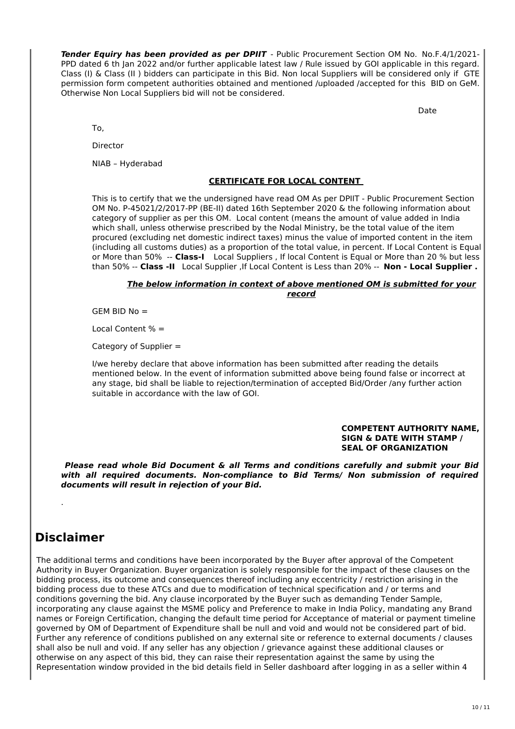**Tender Equiry has been provided as per DPIIT** - Public Procurement Section OM No. No.F.4/1/2021- PPD dated 6 th Jan 2022 and/or further applicable latest law / Rule issued by GOI applicable in this regard. Class (I) & Class (II ) bidders can participate in this Bid. Non local Suppliers will be considered only if GTE permission form competent authorities obtained and mentioned /uploaded /accepted for this BID on GeM. Otherwise Non Local Suppliers bid will not be considered.

Date

To,

Director

NIAB – Hyderabad

#### **CERTIFICATE FOR LOCAL CONTENT**

This is to certify that we the undersigned have read OM As per DPIIT - Public Procurement Section OM No. P-45021/2/2017-PP (BE-II) dated 16th September 2020 & the following information about category of supplier as per this OM. Local content (means the amount of value added in India which shall, unless otherwise prescribed by the Nodal Ministry, be the total value of the item procured (excluding net domestic indirect taxes) minus the value of imported content in the item (including all customs duties) as a proportion of the total value, in percent. If Local Content is Equal or More than 50% -- **Class-I** Local Suppliers , If local Content is Equal or More than 20 % but less than 50% -- **Class -II** Local Supplier ,If Local Content is Less than 20% -- **Non - Local Supplier .**

#### **The below information in context of above mentioned OM is submitted for your record**

 $GEM$  BID No  $=$ 

Local Content % =

Category of Supplier =

I/we hereby declare that above information has been submitted after reading the details mentioned below. In the event of information submitted above being found false or incorrect at any stage, bid shall be liable to rejection/termination of accepted Bid/Order /any further action suitable in accordance with the law of GOI.

#### **COMPETENT AUTHORITY NAME, SIGN & DATE WITH STAMP / SEAL OF ORGANIZATION**

**Please read whole Bid Document & all Terms and conditions carefully and submit your Bid with all required documents. Non-compliance to Bid Terms/ Non submission of required documents will result in rejection of your Bid.**

# **Disclaimer**

.

The additional terms and conditions have been incorporated by the Buyer after approval of the Competent Authority in Buyer Organization. Buyer organization is solely responsible for the impact of these clauses on the bidding process, its outcome and consequences thereof including any eccentricity / restriction arising in the bidding process due to these ATCs and due to modification of technical specification and / or terms and conditions governing the bid. Any clause incorporated by the Buyer such as demanding Tender Sample, incorporating any clause against the MSME policy and Preference to make in India Policy, mandating any Brand names or Foreign Certification, changing the default time period for Acceptance of material or payment timeline governed by OM of Department of Expenditure shall be null and void and would not be considered part of bid. Further any reference of conditions published on any external site or reference to external documents / clauses shall also be null and void. If any seller has any objection / grievance against these additional clauses or otherwise on any aspect of this bid, they can raise their representation against the same by using the Representation window provided in the bid details field in Seller dashboard after logging in as a seller within 4